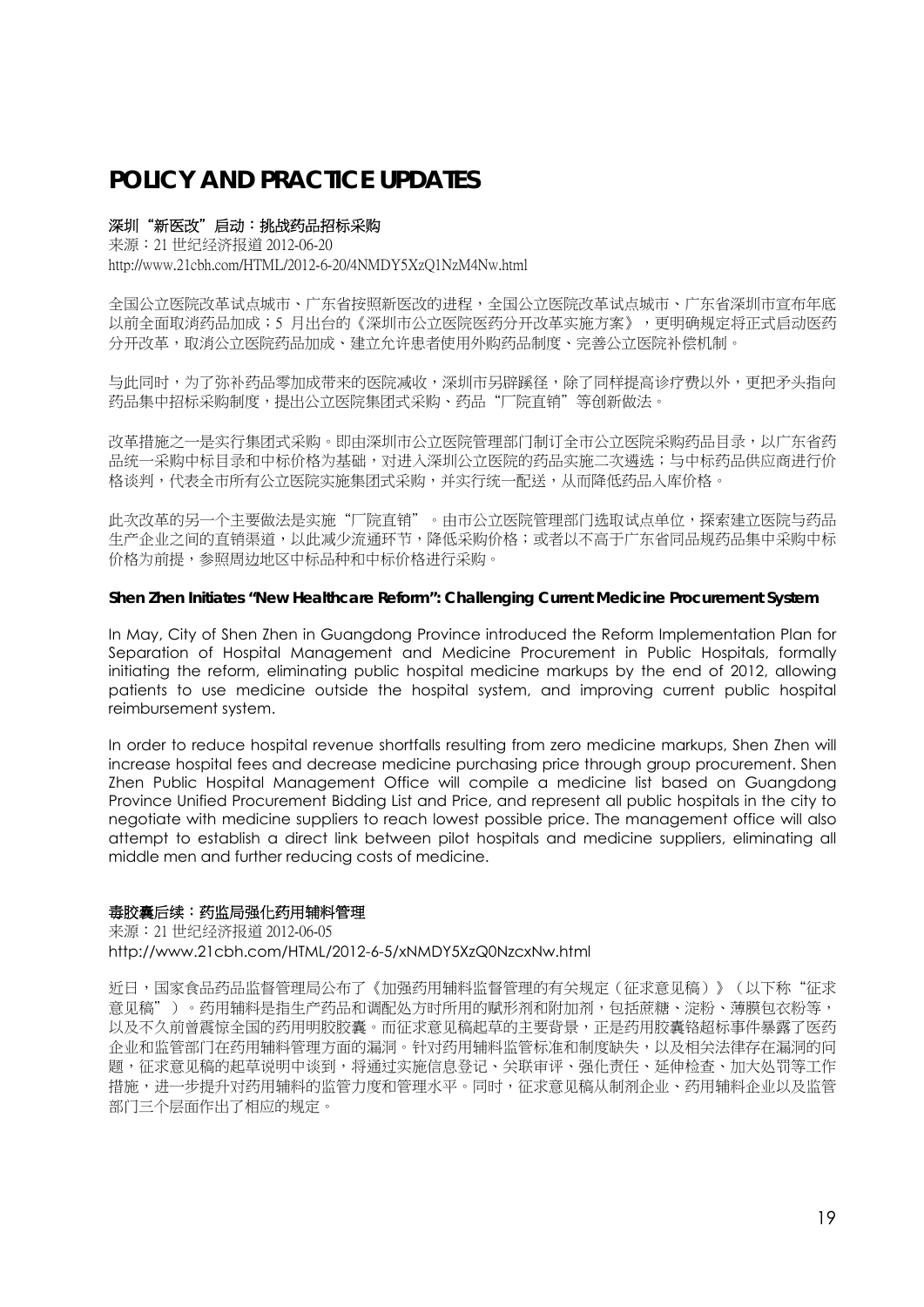# **POLICY AND PRACTICE UPDATES**

## 深圳"新医改"启动:挑战药品招标采购

来源:21 世纪经济报道 2012-06-20 http://www.21cbh.com/HTML/2012-6-20/4NMDY5XzQ1NzM4Nw.html

全国公立医院改革试点城市、广东省按照新医改的进程,全国公立医院改革试点城市、广东省深圳市宣布年底 以前全面取消药品加成;5 月出台的《深圳市公立医院医药分开改革实施方案》,更明确规定将正式启动医药 分开改革,取消公立医院药品加成、建立允许患者使用外购药品制度、完善公立医院补偿机制。

与此同时,为了弥补药品零加成带来的医院减收,深圳市另辟蹊径,除了同样提高诊疗费以外,更把矛头指向 药品集中招标采购制度,提出公立医院集团式采购、药品"厂院直销"等创新做法。

改革措施之一是实行集团式采购。即由深圳市公立医院管理部门制订全市公立医院采购药品目录,以广东省药 品统一采购中标目录和中标价格为基础,对进入深圳公立医院的药品实施二次遴选;与中标药品供应商进行价 格谈判,代表全市所有公立医院实施集团式采购,并实行统一配送,从而降低药品入库价格。

此次改革的另一个主要做法是实施"厂院直销"。由市公立医院管理部门选取试点单位,探索建立医院与药品 生产企业之间的直销渠道,以此减少流通环节,降低采购价格;或者以不高于广东省同品规药品集中采购中标 价格为前提,参照周边地区中标品种和中标价格进行采购。

## **Shen Zhen Initiates "New Healthcare Reform": Challenging Current Medicine Procurement System**

In May, City of Shen Zhen in Guangdong Province introduced the Reform Implementation Plan for Separation of Hospital Management and Medicine Procurement in Public Hospitals, formally initiating the reform, eliminating public hospital medicine markups by the end of 2012, allowing patients to use medicine outside the hospital system, and improving current public hospital reimbursement system.

In order to reduce hospital revenue shortfalls resulting from zero medicine markups, Shen Zhen will increase hospital fees and decrease medicine purchasing price through group procurement. Shen Zhen Public Hospital Management Office will compile a medicine list based on Guangdong Province Unified Procurement Bidding List and Price, and represent all public hospitals in the city to negotiate with medicine suppliers to reach lowest possible price. The management office will also attempt to establish a direct link between pilot hospitals and medicine suppliers, eliminating all middle men and further reducing costs of medicine.

## 毒胶囊后续:药监局强化药用辅料管理

来源:21 世纪经济报道 2012-06-05 http://www.21cbh.com/HTML/2012-6-5/xNMDY5XzQ0NzcxNw.html

近日,国家食品药品监督管理局公布了《加强药用辅料监督管理的有关规定(征求意见稿)》(以下称"征求 意见稿")。药用辅料是指生产药品和调配处方时所用的赋形剂和附加剂,包括蔗糖、淀粉、薄膜包衣粉等, 以及不久前曾震惊全国的药用明胶胶囊。而征求意见稿起草的主要背景,正是药用胶囊铬超标事件暴露了医药 企业和监管部门在药用辅料管理方面的漏洞。针对药用辅料监管标准和制度缺失,以及相关法律存在漏洞的问 题,征求意见稿的起草说明中谈到,将通过实施信息登记、关联审评、强化责任、延伸检查、加大处罚等工作 措施,进一步提升对药用辅料的监管力度和管理水平。同时,征求意见稿从制剂企业、药用辅料企业以及监管 部门三个层面作出了相应的规定。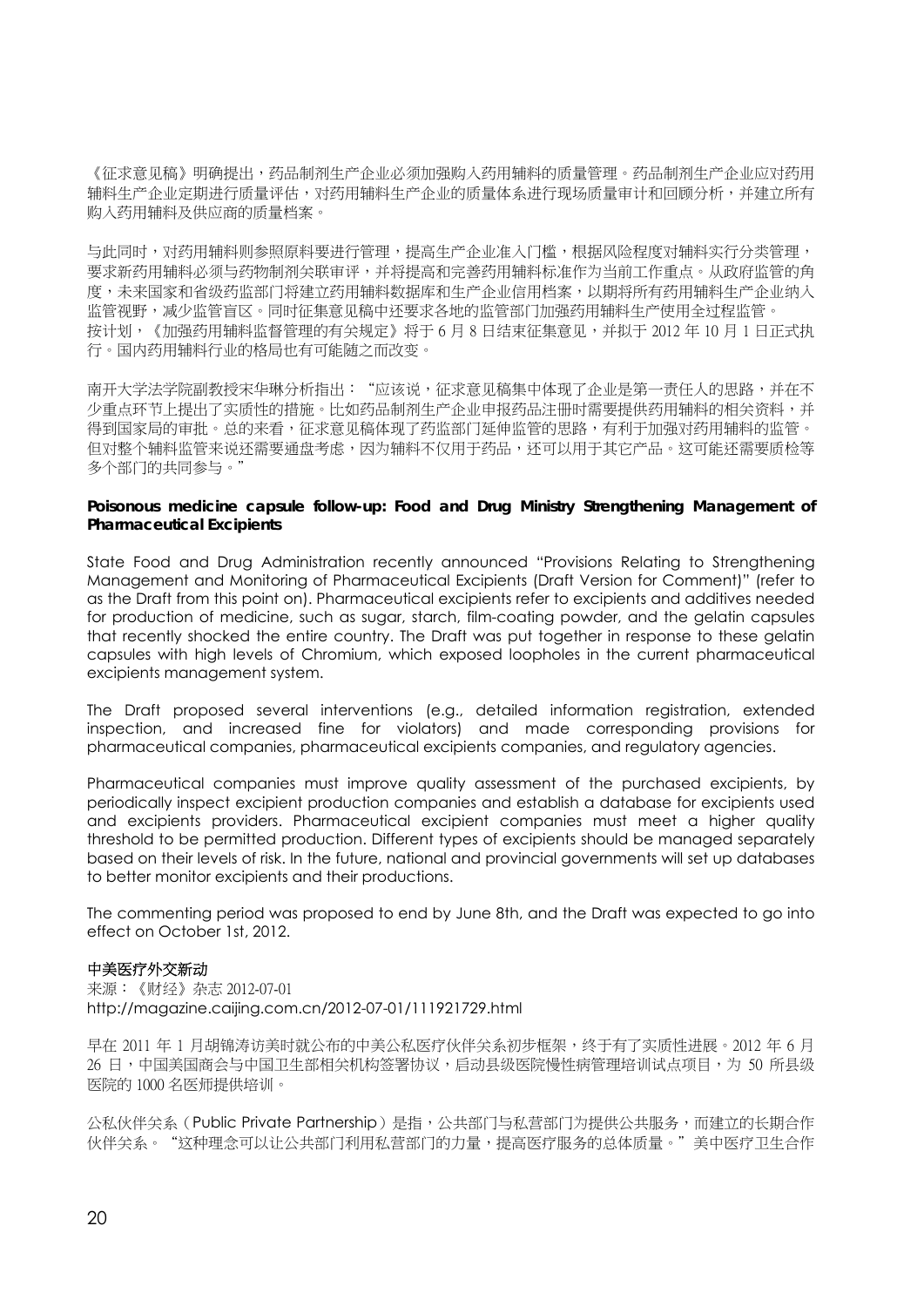《征求意见稿》明确提出,药品制剂生产企业必须加强购入药用辅料的质量管理。药品制剂生产企业应对药用 辅料生产企业定期进行质量评估,对药用辅料生产企业的质量体系进行现场质量审计和回顾分析,并建立所有 购入药用辅料及供应商的质量档案。

与此同时,对药用辅料则参照原料要进行管理,提高生产企业准入门槛,根据风险程度对辅料实行分类管理, 要求新药用辅料必须与药物制剂关联审评,并将提高和完善药用辅料标准作为当前工作重点。从政府监管的角 度,未来国家和省级药监部门将建立药用辅料数据库和生产企业信用档案,以期将所有药用辅料生产企业纳入 监管视野,减少监管盲区。同时征集意见稿中还要求各地的监管部门加强药用辅料生产使用全过程监管。 按计划,《加强药用辅料监督管理的有关规定》将于 6 月 8 日结束征集意见,并拟于 2012 年 10 月 1 日正式执 行。国内药用辅料行业的格局也有可能随之而改变。

南开大学法学院副教授宋华琳分析指出:"应该说,征求意见稿集中体现了企业是第一责任人的思路,并在不 少重点环节上提出了实质性的措施。比如药品制剂生产企业申报药品注册时需要提供药用辅料的相关资料,并 得到国家局的审批。总的来看,征求意见稿体现了药监部门延伸监管的思路,有利于加强对药用辅料的监管。 但对整个辅料监管来说还需要通盘考虑,因为辅料不仅用于药品,还可以用于其它产品。这可能还需要质检等 多个部门的共同参与。"

## **Poisonous medicine capsule follow-up: Food and Drug Ministry Strengthening Management of Pharmaceutical Excipients**

State Food and Drug Administration recently announced "Provisions Relating to Strengthening Management and Monitoring of Pharmaceutical Excipients (Draft Version for Comment)" (refer to as the Draft from this point on). Pharmaceutical excipients refer to excipients and additives needed for production of medicine, such as sugar, starch, film-coating powder, and the gelatin capsules that recently shocked the entire country. The Draft was put together in response to these gelatin capsules with high levels of Chromium, which exposed loopholes in the current pharmaceutical excipients management system.

The Draft proposed several interventions (e.g., detailed information registration, extended inspection, and increased fine for violators) and made corresponding provisions for pharmaceutical companies, pharmaceutical excipients companies, and regulatory agencies.

Pharmaceutical companies must improve quality assessment of the purchased excipients, by periodically inspect excipient production companies and establish a database for excipients used and excipients providers. Pharmaceutical excipient companies must meet a higher quality threshold to be permitted production. Different types of excipients should be managed separately based on their levels of risk. In the future, national and provincial governments will set up databases to better monitor excipients and their productions.

The commenting period was proposed to end by June 8th, and the Draft was expected to go into effect on October 1st, 2012.

## 中美医疗外交新动

来源:《财经》杂志 2012-07-01 http://magazine.caijing.com.cn/2012-07-01/111921729.html

早在 2011 年 1 月胡锦涛访美时就公布的中美公私医疗伙伴关系初步框架,终于有了实质性进展。2012 年 6 月 26 日,中国美国商会与中国卫生部相关机构签署协议,启动具级医院慢性病管理培训试点项目,为 50 所具级 医院的 1000 名医师提供培训。

公私伙伴关系(Public Private Partnership)是指,公共部门与私营部门为提供公共服务,而建立的长期合作 伙伴关系。"这种理念可以让公共部门利用私营部门的力量,提高医疗服务的总体质量。"美中医疗卫生合作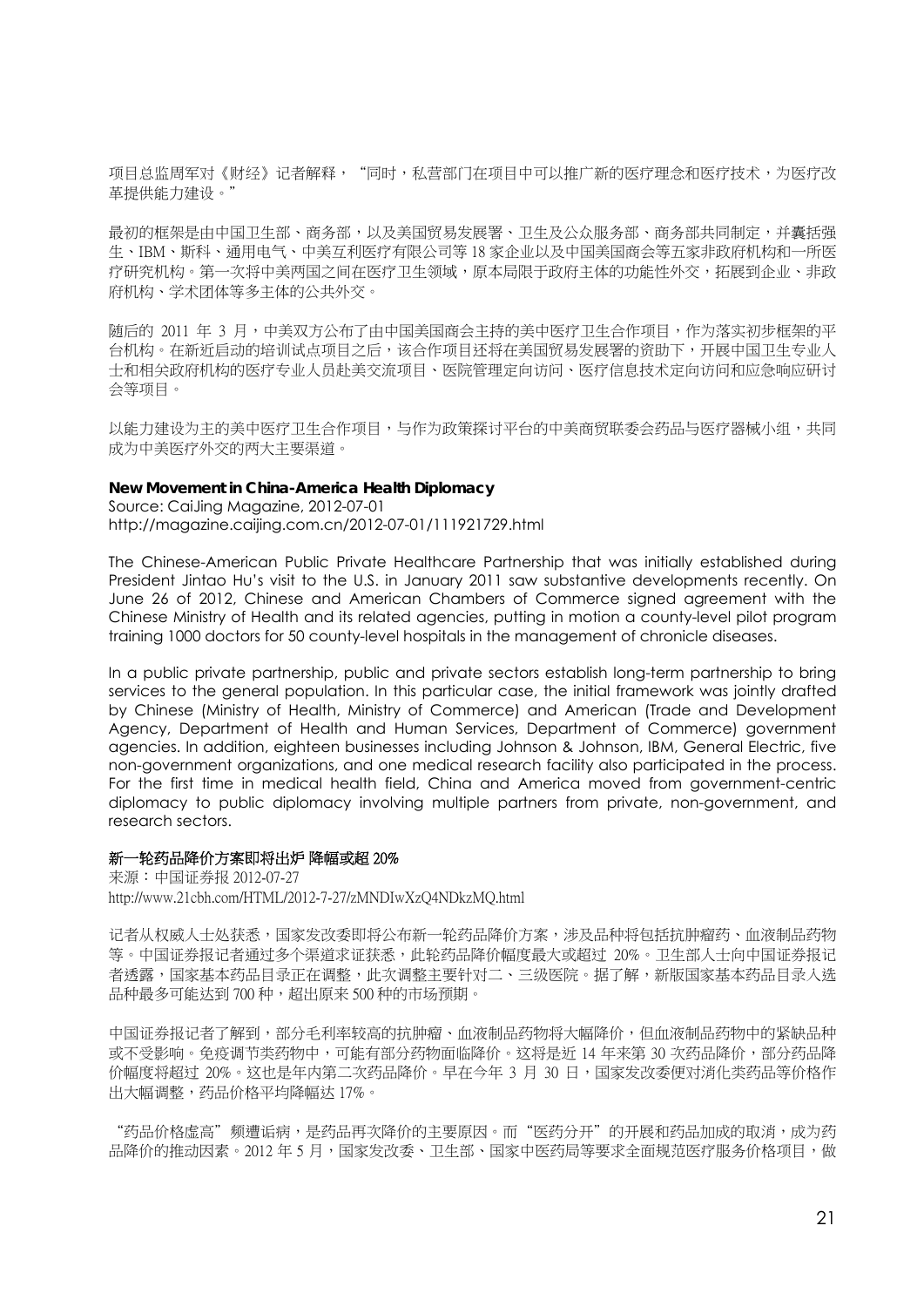项目总监周军对《财经》记者解释,"同时,私营部门在项目中可以推广新的医疗理念和医疗技术,为医疗改 革提供能力建设。"

最初的框架是由中国卫生部、商务部,以及美国贸易发展署、卫生及公众服务部、商务部共同制定,并囊括强 生、IBM、斯科、通用电气、中美互利医疗有限公司等 18 家企业以及中国美国商会等五家非政府机构和一所医 疗研究机构。第一次将中美两国之间在医疗卫生领域,原本局限于政府主体的功能性外交,拓展到企业、非政 府机构、学术团体等多主体的公共外交。

随后的 2011 年 3 月,中美双方公布了由中国美国商会主持的美中医疗卫生合作项目,作为落实初步框架的平 台机构。在新近启动的培训试点项目之后,该合作项目还将在美国贸易发展署的资助下,开展中国卫生专业人 士和相关政府机构的医疗专业人员赴美交流项目、医院管理定向访问、医疗信息技术定向访问和应急响应研讨 会等项目。

以能力建设为主的美中医疗卫生合作项目,与作为政策探讨平台的中美商贸联委会药品与医疗器械小组,共同 成为中美医疗外交的两大主要渠道。

#### **New Movement in China-America Health Diplomacy**

Source: CaiJing Magazine, 2012-07-01 http://magazine.caijing.com.cn/2012-07-01/111921729.html

The Chinese-American Public Private Healthcare Partnership that was initially established during President Jintao Hu's visit to the U.S. in January 2011 saw substantive developments recently. On June 26 of 2012, Chinese and American Chambers of Commerce signed agreement with the Chinese Ministry of Health and its related agencies, putting in motion a county-level pilot program training 1000 doctors for 50 county-level hospitals in the management of chronicle diseases.

In a public private partnership, public and private sectors establish long-term partnership to bring services to the general population. In this particular case, the initial framework was jointly drafted by Chinese (Ministry of Health, Ministry of Commerce) and American (Trade and Development Agency, Department of Health and Human Services, Department of Commerce) government agencies. In addition, eighteen businesses including Johnson & Johnson, IBM, General Electric, five non-government organizations, and one medical research facility also participated in the process. For the first time in medical health field, China and America moved from government-centric diplomacy to public diplomacy involving multiple partners from private, non-government, and research sectors.

#### 新一轮药品降价方案即将出炉 降幅或超 20%

来源:中国证券报 2012-07-27 http://www.21cbh.com/HTML/2012-7-27/zMNDIwXzQ4NDkzMQ.html

记者从权威人士处获悉,国家发改委即将公布新一轮药品降价方案,涉及品种将包括抗肿瘤药、血液制品药物 等。中国证券报记者通过多个渠道求证获悉,此轮药品降价幅度最大或超过 20%。卫生部人士向中国证券报记 者透露,国家基本药品目录正在调整,此次调整主要针对二、三级医院。据了解,新版国家基本药品目录入选 品种最多可能达到700种,超出原来500种的市场预期。

中国证券报记者了解到,部分毛利率较高的抗肿瘤、血液制品药物将大幅降价,但血液制品药物中的紧缺品种 或不受影响。免疫调节类药物中,可能有部分药物面临降价。这将是近 14 年来第 30 次药品降价,部分药品降 价幅度将超过 20%。这也是年内第二次药品降价。早在今年 3 月 30 日,国家发改委便对消化类药品等价格作 出大幅调整,药品价格平均降幅达 17%。

"药品价格虚高"频遭诟病,是药品再次降价的主要原因。而"医药分开"的开展和药品加成的取消,成为药 品降价的推动因素。2012年5月,国家发改委、卫生部、国家中医药局等要求全面规范医疗服务价格项目,做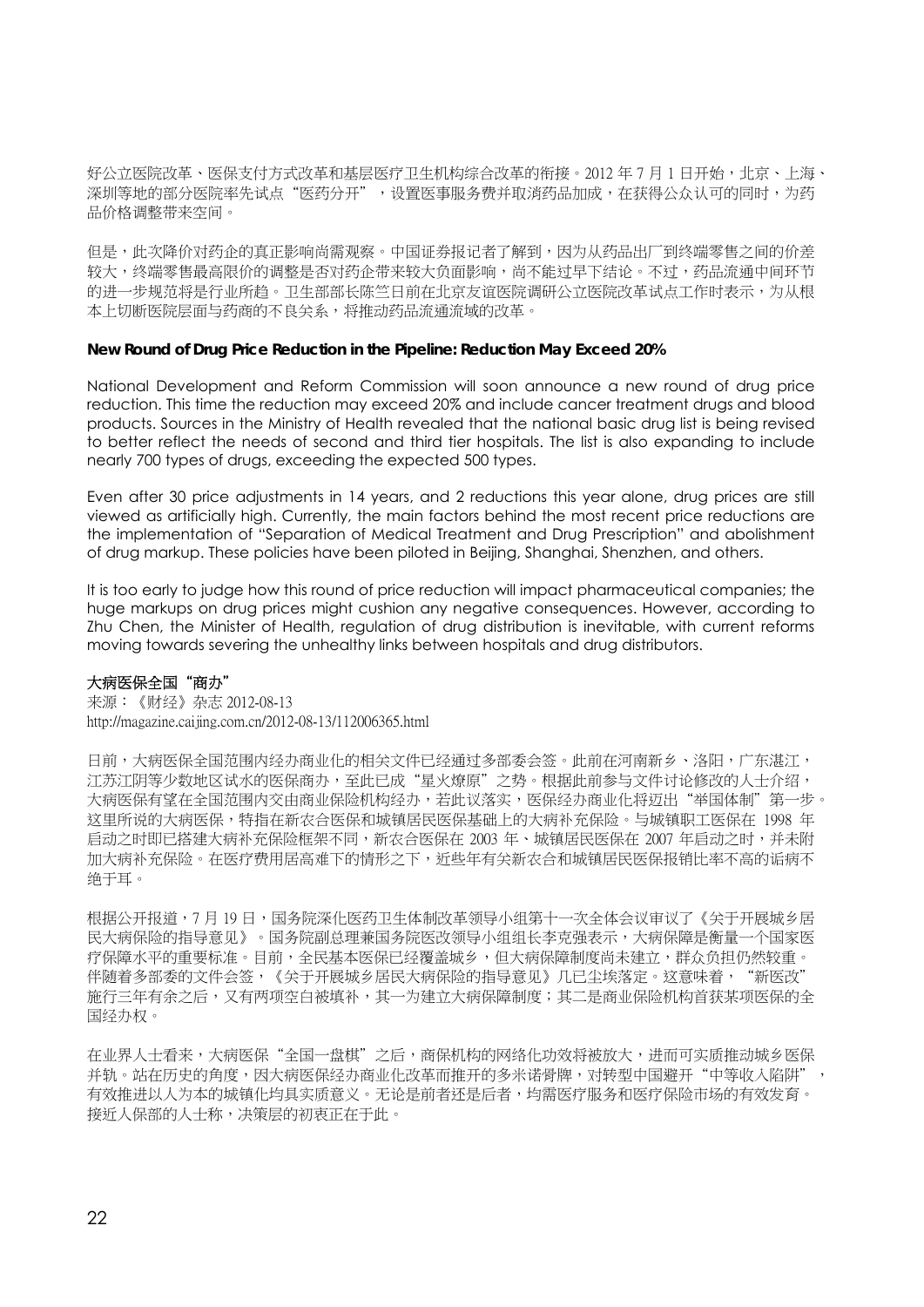好公立医院改革、医保支付方式改革和基层医疗卫生机构综合改革的衔接。2012 年 7 月 1 日开始,北京、上海、 深圳等地的部分医院率先试点"医药分开",设置医事服务费并取消药品加成,在获得公众认可的同时,为药 品价格调整带来空间。

但是,此次降价对药企的真正影响尚需观察。中国证券报记者了解到,因为从药品出厂到终端零售之间的价差 较大,终端零售最高限价的调整是否对药企带来较大负面影响,尚不能过早下结论。不过,药品流通中间环节 的进一步规范将是行业所趋。卫生部部长陈竺日前在北京友谊医院调研公立医院改革试点工作时表示,为从根 本上切断医院层面与药商的不良关系,将推动药品流通流域的改革。

## **New Round of Drug Price Reduction in the Pipeline: Reduction May Exceed 20%**

National Development and Reform Commission will soon announce a new round of drug price reduction. This time the reduction may exceed 20% and include cancer treatment drugs and blood products. Sources in the Ministry of Health revealed that the national basic drug list is being revised to better reflect the needs of second and third tier hospitals. The list is also expanding to include nearly 700 types of drugs, exceeding the expected 500 types.

Even after 30 price adjustments in 14 years, and 2 reductions this year alone, drug prices are still viewed as artificially high. Currently, the main factors behind the most recent price reductions are the implementation of "Separation of Medical Treatment and Drug Prescription" and abolishment of drug markup. These policies have been piloted in Beijing, Shanghai, Shenzhen, and others.

It is too early to judge how this round of price reduction will impact pharmaceutical companies; the huge markups on drug prices might cushion any negative consequences. However, according to Zhu Chen, the Minister of Health, regulation of drug distribution is inevitable, with current reforms moving towards severing the unhealthy links between hospitals and drug distributors.

## 大病医保全国"商办"

来源:《财经》杂志 2012-08-13 http://magazine.caijing.com.cn/2012-08-13/112006365.html

日前,大病医保全国范围内经办商业化的相关文件已经通过多部委会签。此前在河南新乡、洛阳,广东湛江, 江苏江阴等少数地区试水的医保商办,至此已成"星火燎原"之势。根据此前参与文件讨论修改的人士介绍, 大病医保有望在全国范围内交由商业保险机构经办,若此议落实,医保经办商业化将迈出"举国体制"第一步。 这里所说的大病医保,特指在新农合医保和城镇居民医保基础上的大病补充保险。与城镇职工医保在 1998 年 后动之时即已搭建大病补充保险框架不同,新农合医保在 2003 年、城镇居民医保在 2007 年启动之时,并未附 加大病补充保险。在医疗费用居高难下的情形之下,近些年有关新农合和城镇居民医保报销比率不高的诟病不 绝于耳。

根据公开报道,7 月 19 日,国务院深化医药卫生体制改革领导小组第十一次全体会议审议了《关于开展城乡居 民大病保险的指导意见》。国务院副总理兼国务院医改领导小组组长李克强表示,大病保障是衡量一个国家医 疗保障水平的重要标准。目前,全民基本医保已经覆盖城乡,但大病保障制度尚未建立,群众负担仍然较重。 伴随着多部委的文件会签,《关于开展城乡居民大病保险的指导意见》几已尘埃落定。这意味着, "新医改" 施行三年有余之后,又有两项空白被填补,其一为建立大病保障制度;其二是商业保险机构首获某项医保的全 国经办权。

在业界人士看来,大病医保"全国一盘棋"之后,商保机构的网络化功效将被放大,进而可实质推动城乡医保 并轨。站在历史的角度,因大病医保经办商业化改革而推开的多米诺骨牌,对转型中国避开"中等收入陷阱", 有效推进以人为本的城镇化均具实质意义。无论是前者还是后者,均需医疗服务和医疗保险市场的有效发育。 接近人保部的人士称,决策层的初衷正在于此。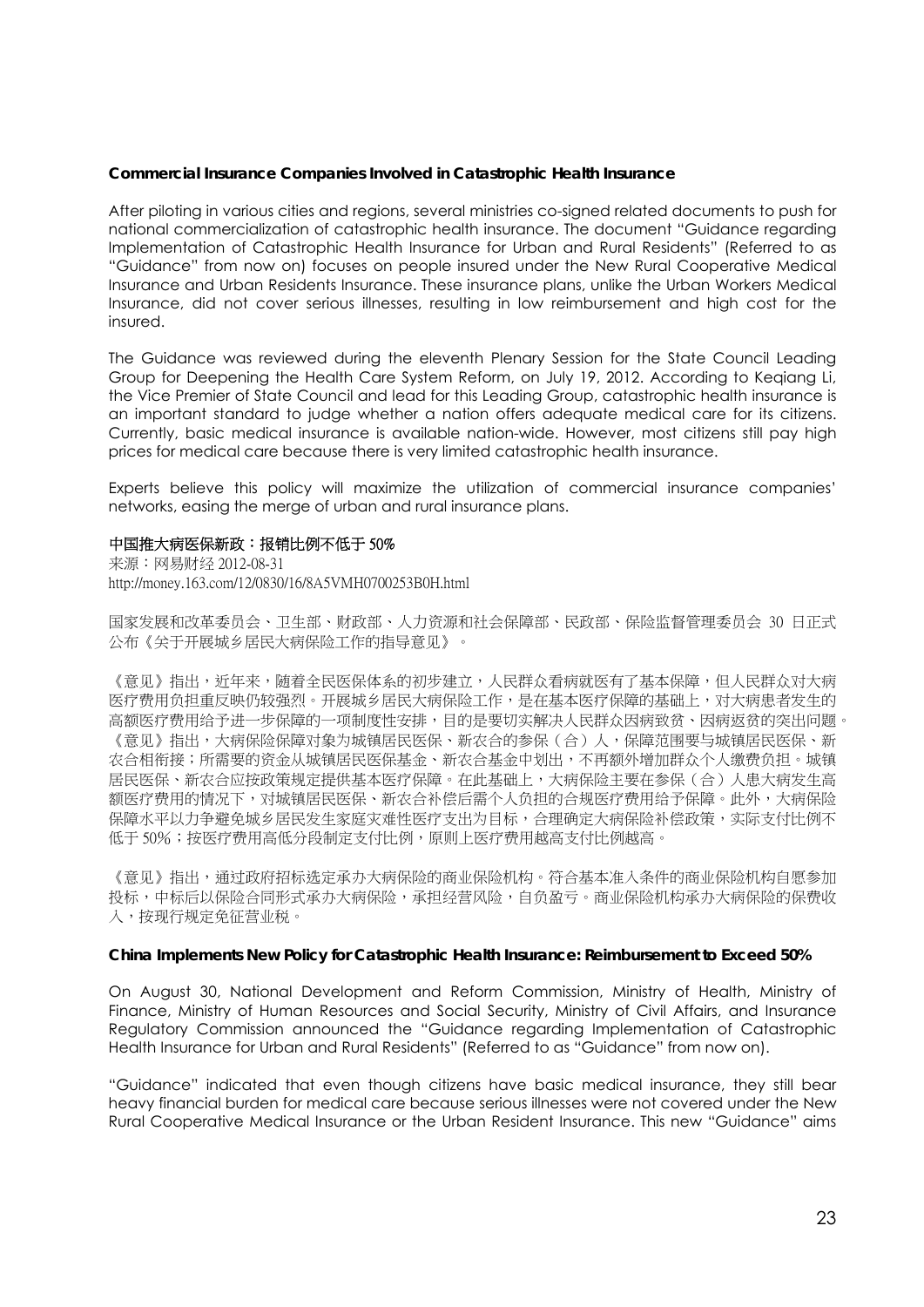#### **Commercial Insurance Companies Involved in Catastrophic Health Insurance**

After piloting in various cities and regions, several ministries co-signed related documents to push for national commercialization of catastrophic health insurance. The document "Guidance regarding Implementation of Catastrophic Health Insurance for Urban and Rural Residents" (Referred to as "Guidance" from now on) focuses on people insured under the New Rural Cooperative Medical Insurance and Urban Residents Insurance. These insurance plans, unlike the Urban Workers Medical Insurance, did not cover serious illnesses, resulting in low reimbursement and high cost for the insured.

The Guidance was reviewed during the eleventh Plenary Session for the State Council Leading Group for Deepening the Health Care System Reform, on July 19, 2012. According to Keqiang Li, the Vice Premier of State Council and lead for this Leading Group, catastrophic health insurance is an important standard to judge whether a nation offers adequate medical care for its citizens. Currently, basic medical insurance is available nation-wide. However, most citizens still pay high prices for medical care because there is very limited catastrophic health insurance.

Experts believe this policy will maximize the utilization of commercial insurance companies' networks, easing the merge of urban and rural insurance plans.

#### 中国推大病医保新政:报销比例不低于 50%

来源:网易财经 2012-08-31 http://money.163.com/12/0830/16/8A5VMH0700253B0H.html

国家发展和改革委员会、卫生部、财政部、人力资源和社会保障部、民政部、保险监督管理委员会 30 日正式 公布《关于开展城乡居民大病保险工作的指导意见》。

《意见》指出,近年来,随着全民医保体系的初步建立,人民群众看病就医有了基本保障,但人民群众对大病 医疗费用负担重反映仍较强烈。开展城乡居民大病保险工作,是在基本医疗保障的基础上,对大病患者发生的 高额医疗费用给予进一步保障的一项制度性安排,目的是要切实解决人民群众因病致贫、因病返贫的突出问题。 《意见》指出,大病保险保障对象为城镇居民医保、新农合的参保(合)人,保障范围要与城镇居民医保、新 农合相衔接;所需要的资金从城镇居民医保基金、新农合基金中划出,不再额外增加群众个人缴费负担。城镇 居民医保、新农合应按政策规定提供基本医疗保障。在此基础上,大病保险主要在参保(合)人患大病发生高 额医疗费用的情况下,对城镇居民医保、新农合补偿后需个人负担的合规医疗费用给予保障。此外,大病保险 保障水平以力争避免城乡居民发生家庭灾难性医疗支出为目标,合理确定大病保险补偿政策,实际支付比例不 低于 50%; 按医疗费用高低分段制定支付比例,原则上医疗费用越高支付比例越高。

《意见》指出,通过政府招标选定承办大病保险的商业保险机构。符合基本准入条件的商业保险机构自愿参加 投标,中标后以保险合同形式承办大病保险,承担经营风险,自负盈亏。商业保险机构承办大病保险的保费收 入,按现行规定免征营业税。

#### **China Implements New Policy for Catastrophic Health Insurance: Reimbursement to Exceed 50%**

On August 30, National Development and Reform Commission, Ministry of Health, Ministry of Finance, Ministry of Human Resources and Social Security, Ministry of Civil Affairs, and Insurance Regulatory Commission announced the "Guidance regarding Implementation of Catastrophic Health Insurance for Urban and Rural Residents" (Referred to as "Guidance" from now on).

"Guidance" indicated that even though citizens have basic medical insurance, they still bear heavy financial burden for medical care because serious illnesses were not covered under the New Rural Cooperative Medical Insurance or the Urban Resident Insurance. This new "Guidance" aims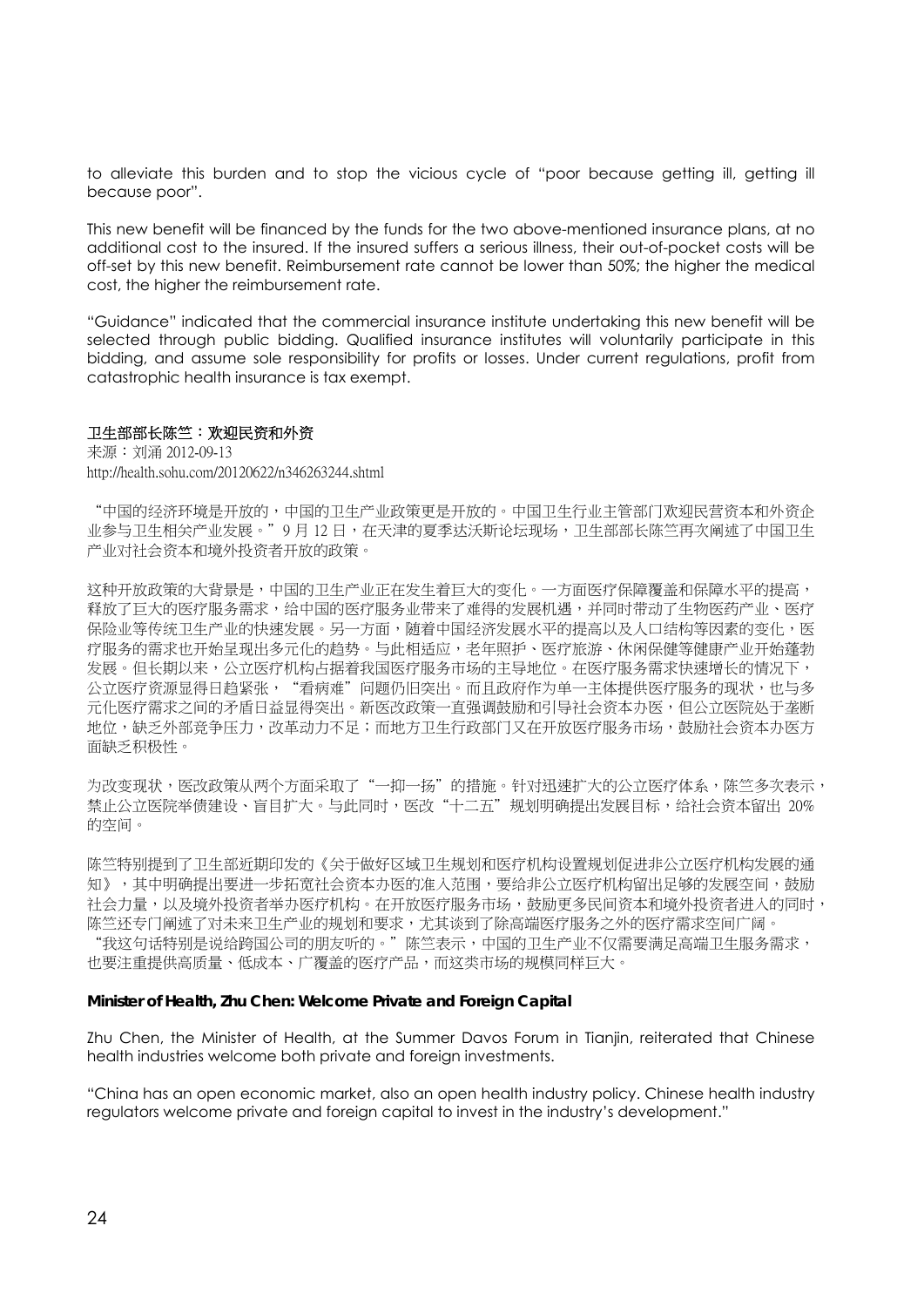to alleviate this burden and to stop the vicious cycle of "poor because getting ill, getting ill because poor".

This new benefit will be financed by the funds for the two above-mentioned insurance plans, at no additional cost to the insured. If the insured suffers a serious illness, their out-of-pocket costs will be off-set by this new benefit. Reimbursement rate cannot be lower than 50%; the higher the medical cost, the higher the reimbursement rate.

"Guidance" indicated that the commercial insurance institute undertaking this new benefit will be selected through public bidding. Qualified insurance institutes will voluntarily participate in this bidding, and assume sole responsibility for profits or losses. Under current regulations, profit from catastrophic health insurance is tax exempt.

#### 卫生部部长陈竺:欢迎民资和外资

来源:刘涌 2012-09-13 http://health.sohu.com/20120622/n346263244.shtml

"中国的经济环境是开放的,中国的卫生产业政策更是开放的。中国卫生行业主管部门欢迎民营资本和外资企 业参与卫生相关产业发展。"9 月 12 日,在天津的夏季达沃斯论坛现场,卫生部部长陈竺再次阐述了中国卫生 产业对社会资本和境外投资者开放的政策。

这种开放政策的大背景是,中国的卫生产业正在发生着巨大的变化。一方面医疗保障覆盖和保障水平的提高, 释放了巨大的医疗服务需求,给中国的医疗服务业带来了难得的发展机遇,并同时带动了生物医药产业、医疗 保险业等传统卫生产业的快速发展。另一方面,随着中国经济发展水平的提高以及人口结构等因素的变化,医 疗服务的需求也开始呈现出多元化的趋势。与此相适应,老年照护、医疗旅游、休闲保健等健康产业开始蓬勃 发展。但长期以来,公立医疗机构占据着我国医疗服务市场的主导地位。在医疗服务需求快速增长的情况下, 公立医疗资源显得日趋紧张,"看病难"问题仍旧突出。而且政府作为单一主体提供医疗服务的现状,也与多 元化医疗需求之间的矛盾日益显得突出。新医改政策一直强调鼓励和引导社会资本办医,但公立医院处于垄断 地位,缺乏外部竞争压力,改革动力不足;而地方卫生行政部门又在开放医疗服务市场,鼓励社会资本办医方 面缺乏积极性。

为改变现状,医改政策从两个方面采取了"一抑一扬"的措施。针对迅速扩大的公立医疗体系,陈竺多次表示, 禁止公立医院举债建设、盲目扩大。与此同时,医改"十二五"规划明确提出发展目标,给社会资本留出 20% 的空间。

陈竺特别提到了卫生部近期印发的《关于做好区域卫生规划和医疗机构设置规划促进非公立医疗机构发展的通 知》,其中明确提出要进一步拓宽社会资本办医的准入范围,要给非公立医疗机构留出足够的发展空间,鼓励 社会力量,以及境外投资者举办医疗机构。在开放医疗服务市场,鼓励更多民间资本和境外投资者进入的同时, 陈竺还专门阐述了对未来卫生产业的规划和要求,尤其谈到了除高端医疗服务之外的医疗需求空间广阔。 "我这句话特别是说给跨国公司的朋友听的。"陈竺表示,中国的卫生产业不仅需要满足高端卫生服务需求, 也要注重提供高质量、低成本、广覆盖的医疗产品,而这类市场的规模同样巨大。

#### **Minister of Health, Zhu Chen: Welcome Private and Foreign Capital**

Zhu Chen, the Minister of Health, at the Summer Davos Forum in Tianjin, reiterated that Chinese health industries welcome both private and foreign investments.

"China has an open economic market, also an open health industry policy. Chinese health industry regulators welcome private and foreign capital to invest in the industry's development."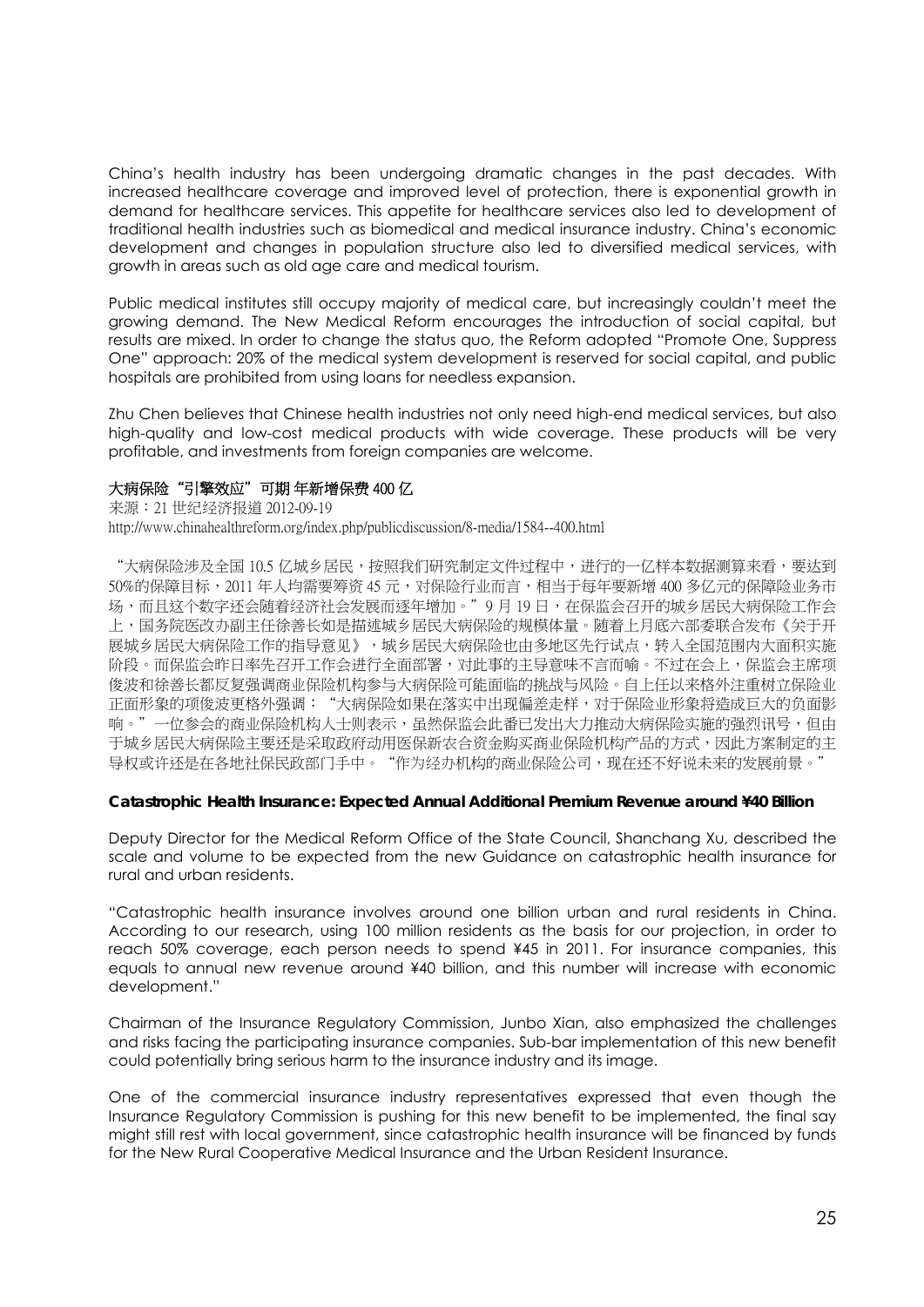China's health industry has been undergoing dramatic changes in the past decades. With increased healthcare coverage and improved level of protection, there is exponential growth in demand for healthcare services. This appetite for healthcare services also led to development of traditional health industries such as biomedical and medical insurance industry. China's economic development and changes in population structure also led to diversified medical services, with growth in areas such as old age care and medical tourism.

Public medical institutes still occupy majority of medical care, but increasingly couldn't meet the growing demand. The New Medical Reform encourages the introduction of social capital, but results are mixed. In order to change the status quo, the Reform adopted "Promote One, Suppress One" approach: 20% of the medical system development is reserved for social capital, and public hospitals are prohibited from using loans for needless expansion.

Zhu Chen believes that Chinese health industries not only need high-end medical services, but also high-quality and low-cost medical products with wide coverage. These products will be very profitable, and investments from foreign companies are welcome.

## 大病保险"引擎效应"可期 年新增保费 400 亿

来源:21 世纪经济报道 2012-09-19 http://www.chinahealthreform.org/index.php/publicdiscussion/8-media/1584--400.html

"大病保险涉及全国 10.5 亿城乡居民,按照我们研究制定文件过程中,进行的一亿样本数据测算来看,要达到 50%的保障目标,2011 年人均需要筹资 45 元,对保险行业而言,相当于每年要新增 400 多亿元的保障险业务市 场,而且这个数字还会随着经济社会发展而逐年增加。"9月19日,在保监会召开的城乡居民大病保险工作会 上,国务院医改办副主任徐善长如是描述城乡居民大病保险的规模体量。随着上月底六部委联合发布《关于开 展城乡居民大病保险工作的指导意见》,城乡居民大病保险也由多地区先行试点,转入全国范围内大面积实施 阶段。而保监会昨日率先召开工作会进行全面部署,对此事的主导意味不言而喻。不过在会上,保监会主席项 俊波和徐善长都反复强调商业保险机构参与大病保险可能面临的挑战与风险。自上任以来格外注重树立保险业 正面形象的项俊波更格外强调: "大病保险如果在落实中出现偏差走样,对于保险业形象将造成巨大的负面影 响。"一位参会的商业保险机构人士则表示,虽然保监会此番已发出大力推动大病保险实施的强烈讯号,但由 于城乡居民大病保险主要还是采取政府动用医保新农合资金购买商业保险机构产品的方式,因此方案制定的主 导权或许还是在各地社保民政部门手中。"作为经办机构的商业保险公司,现在还不好说未来的发展前景。

## **Catastrophic Health Insurance: Expected Annual Additional Premium Revenue around ¥40 Billion**

Deputy Director for the Medical Reform Office of the State Council, Shanchang Xu, described the scale and volume to be expected from the new Guidance on catastrophic health insurance for rural and urban residents.

"Catastrophic health insurance involves around one billion urban and rural residents in China. According to our research, using 100 million residents as the basis for our projection, in order to reach 50% coverage, each person needs to spend ¥45 in 2011. For insurance companies, this equals to annual new revenue around ¥40 billion, and this number will increase with economic development."

Chairman of the Insurance Regulatory Commission, Junbo Xian, also emphasized the challenges and risks facing the participating insurance companies. Sub-bar implementation of this new benefit could potentially bring serious harm to the insurance industry and its image.

One of the commercial insurance industry representatives expressed that even though the Insurance Regulatory Commission is pushing for this new benefit to be implemented, the final say might still rest with local government, since catastrophic health insurance will be financed by funds for the New Rural Cooperative Medical Insurance and the Urban Resident Insurance.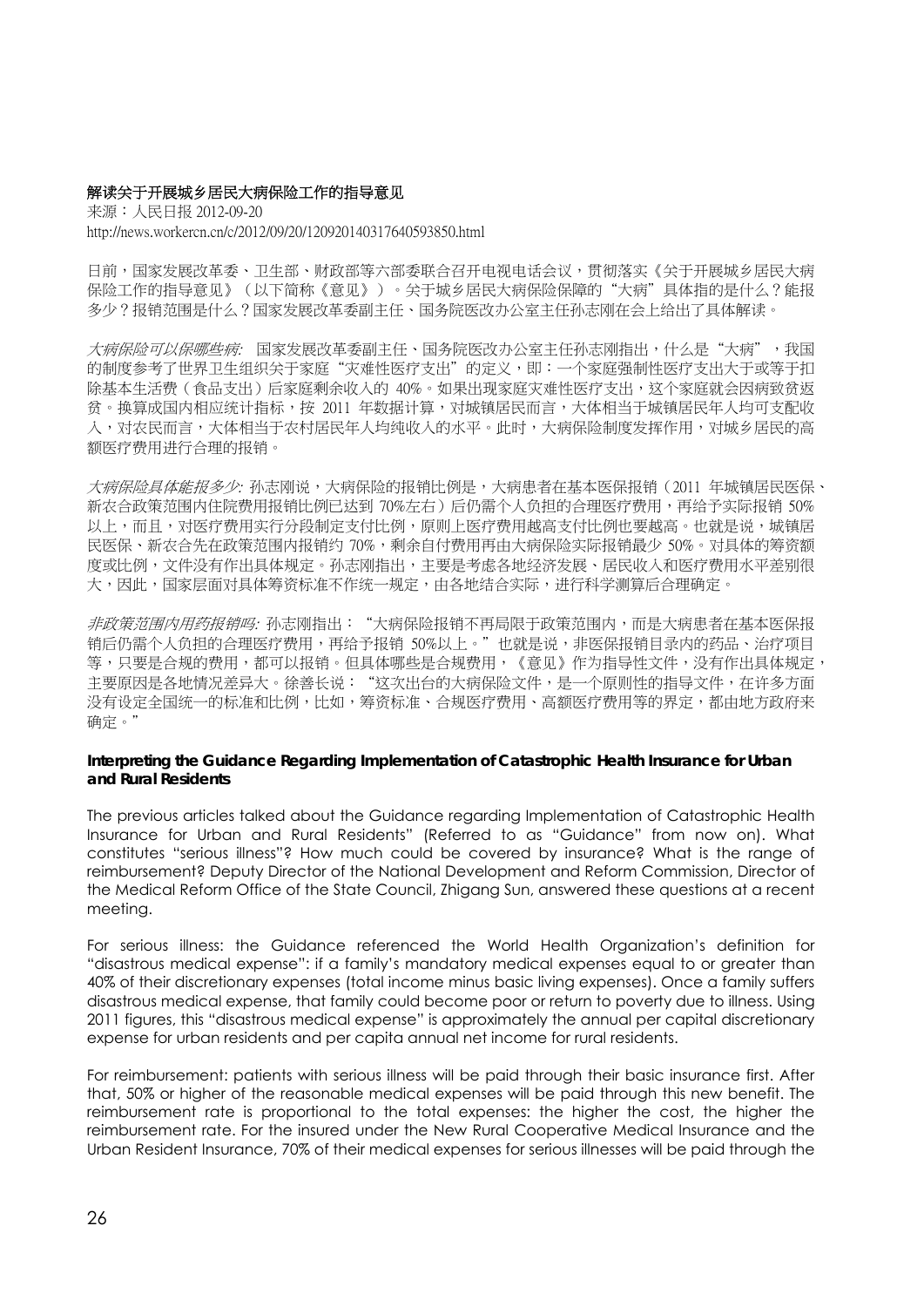## 解读关于开展城乡居民大病保险工作的指导意见

来源:人民日报 2012-09-20 http://news.workercn.cn/c/2012/09/20/120920140317640593850.html

日前,国家发展改革委、卫生部、财政部等六部委联合召开电视电话会议,贯彻落实《关于开展城乡居民大病 保险工作的指导意见》(以下简称《意见》)。关于城乡居民大病保险保障的"大病"具体指的是什么?能报 多少?报销范围是什么?国家发展改革委副主任、国务院医改办公室主任孙志刚在会上给出了具体解读。

大病保险可以保哪些病: 国家发展改革委副主任、国务院医改办公室主任孙志刚指出,什么是"大病",我国 的制度参考了世界卫生组织关于家庭"灾难性医疗支出"的定义,即:一个家庭强制性医疗支出大于或等于扣 除基本生活费(食品支出)后家庭剩余收入的 40%。如果出现家庭灾难性医疗支出,这个家庭就会因病致贫返 贫。换算成国内相应统计指标,按 2011 年数据计算,对城镇居民而言,大体相当于城镇居民年人均可支配收 入,对农民而言,大体相当于农村居民年人均纯收入的水平。此时,大病保险制度发挥作用,对城乡居民的高 额医疗费用进行合理的报销。

大病保险具体能报多少: 孙志刚说,大病保险的报销比例是,大病患者在基本医保报销(2011 年城镇居民医保、 新农合政策范围内住院费用报销比例已达到 70%左右) 后仍需个人负担的合理医疗费用,再给予实际报销 50% 以上,而且,对医疗费用实行分段制定支付比例,原则上医疗费用越高支付比例也要越高。也就是说,城镇居 民医保、新农合先在政策范围内报销约 70%,剩余自付费用再由大病保险实际报销最少 50%。对具体的筹资额 度或比例,文件没有作出具体规定。孙志刚指出,主要是考虑各地经济发展、居民收入和医疗费用水平差别很 大,因此,国家层面对具体筹资标准不作统一规定,由各地结合实际,进行科学测算后合理确定。

*非政策范围内用药报销吗:* 孙志刚指出:"大病保险报销不再局限于政策范围内,而是大病患者在基本医保报 销后仍需个人负担的合理医疗费用,再给予报销 50%以上。"也就是说,非医保报销目录内的药品、治疗项目 等,只要是合规的费用,都可以报销。但具体哪些是合规费用,《意见》作为指导性文件,没有作出具体规定, 主要原因是各地情况差异大。徐善长说: "这次出台的大病保险文件,是一个原则性的指导文件,在许多方面 没有设定全国统一的标准和比例,比如,筹资标准、合规医疗费用、高额医疗费用等的界定,都由地方政府来 确定。"

## **Interpreting the Guidance Regarding Implementation of Catastrophic Health Insurance for Urban and Rural Residents**

The previous articles talked about the Guidance regarding Implementation of Catastrophic Health Insurance for Urban and Rural Residents" (Referred to as "Guidance" from now on). What constitutes "serious illness"? How much could be covered by insurance? What is the range of reimbursement? Deputy Director of the National Development and Reform Commission, Director of the Medical Reform Office of the State Council, Zhigang Sun, answered these questions at a recent meeting.

For serious illness: the Guidance referenced the World Health Organization's definition for "disastrous medical expense": if a family's mandatory medical expenses equal to or greater than 40% of their discretionary expenses (total income minus basic living expenses). Once a family suffers disastrous medical expense, that family could become poor or return to poverty due to illness. Using 2011 figures, this "disastrous medical expense" is approximately the annual per capital discretionary expense for urban residents and per capita annual net income for rural residents.

For reimbursement: patients with serious illness will be paid through their basic insurance first. After that, 50% or higher of the reasonable medical expenses will be paid through this new benefit. The reimbursement rate is proportional to the total expenses: the higher the cost, the higher the reimbursement rate. For the insured under the New Rural Cooperative Medical Insurance and the Urban Resident Insurance, 70% of their medical expenses for serious illnesses will be paid through the